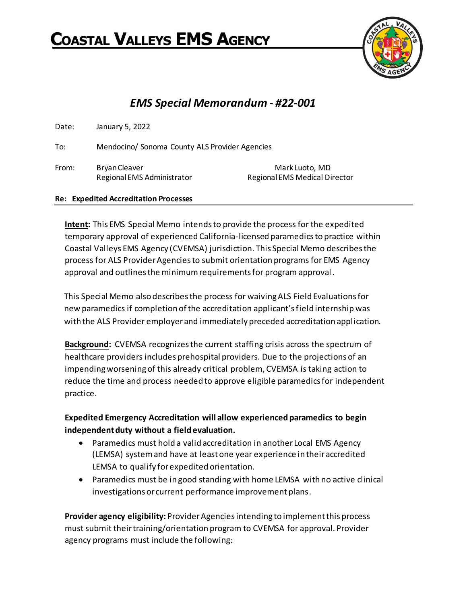# **COASTAL VALLEYS EMS AGENCY**



# *EMS Special Memorandum - #22-001*

| Date: | January 5, 2022                                    |                                                 |
|-------|----------------------------------------------------|-------------------------------------------------|
| To:   | Mendocino/ Sonoma County ALS Provider Agencies     |                                                 |
| From: | <b>Bryan Cleaver</b><br>Regional EMS Administrator | Mark Luoto, MD<br>Regional EMS Medical Director |

#### **Re: Expedited Accreditation Processes**

**Intent:** This EMS Special Memo intends to provide the process for the expedited temporary approval of experienced California-licensed paramedics to practice within Coastal Valleys EMS Agency (CVEMSA) jurisdiction. This Special Memo describes the process for ALS Provider Agencies to submit orientation programs for EMS Agency approval and outlines the minimum requirements for program approval.

This Special Memo also describes the process for waiving ALS Field Evaluations for new paramedics if completion of the accreditation applicant's field internship was with the ALS Provider employer and immediately preceded accreditation application.

**Background:** CVEMSA recognizes the current staffing crisis across the spectrum of healthcare providers includes prehospital providers. Due to the projections of an impending worsening of this already critical problem, CVEMSA is taking action to reduce the time and process needed to approve eligible paramedics for independent practice.

# **Expedited Emergency Accreditation will allow experienced paramedics to begin independent duty without a field evaluation.**

- Paramedics must hold a valid accreditation in another Local EMS Agency (LEMSA) system and have at least one year experience in their accredited LEMSA to qualify for expedited orientation.
- Paramedics must be in good standing with home LEMSA with no active clinical investigations or current performance improvement plans.

**Provider agency eligibility:** Provider Agencies intending to implement this process must submit their training/orientation program to CVEMSA for approval. Provider agency programs must include the following: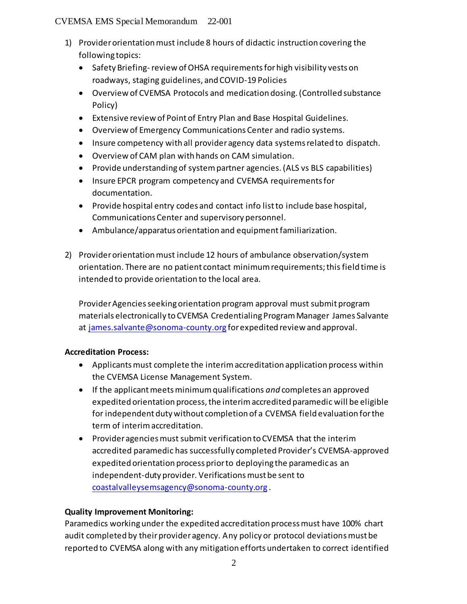#### CVEMSA EMS Special Memorandum 22-001

- 1) Provider orientation must include 8 hours of didactic instruction covering the following topics:
	- Safety Briefing-review of OHSA requirements for high visibility vests on roadways, staging guidelines, and COVID-19 Policies
	- Overview of CVEMSA Protocols and medication dosing. (Controlled substance Policy)
	- Extensive review of Point of Entry Plan and Base Hospital Guidelines.
	- Overview of Emergency Communications Center and radio systems.
	- Insure competency with all provider agency data systems related to dispatch.
	- Overview of CAM plan with hands on CAM simulation.
	- Provide understanding of system partner agencies. (ALS vs BLS capabilities)
	- Insure EPCR program competency and CVEMSA requirements for documentation.
	- Provide hospital entry codes and contact info list to include base hospital, Communications Center and supervisory personnel.
	- Ambulance/apparatus orientation and equipment familiarization.
- 2) Provider orientation must include 12 hours of ambulance observation/system orientation. There are no patient contact minimum requirements; this field time is intended to provide orientation to the local area.

Provider Agencies seeking orientation program approval must submit program materials electronically to CVEMSA Credentialing Program Manager James Salvante at [james.salvante@sonoma-county.org](mailto:james.salvante@sonoma-county.org) for expedited review and approval.

# **Accreditation Process:**

- Applicants must complete the interim accreditation application process within the CVEMSA License Management System.
- If the applicant meets minimum qualifications *and* completes an approved expedited orientation process, the interim accredited paramedic will be eligible for independent duty without completion of a CVEMSA field evaluation for the term of interim accreditation.
- Provider agencies must submit verification to CVEMSA that the interim accredited paramedic has successfully completed Provider's CVEMSA-approved expedited orientation process prior to deploying the paramedic as an independent-duty provider. Verifications must be sent to [coastalvalleysemsagency@sonoma-county.org](mailto:coastalvalleysemsagency@sonoma-county.org) .

# **Quality Improvement Monitoring:**

Paramedics working under the expedited accreditation process must have 100% chart audit completed by their provider agency. Any policy or protocol deviations must be reported to CVEMSA along with any mitigation efforts undertaken to correct identified